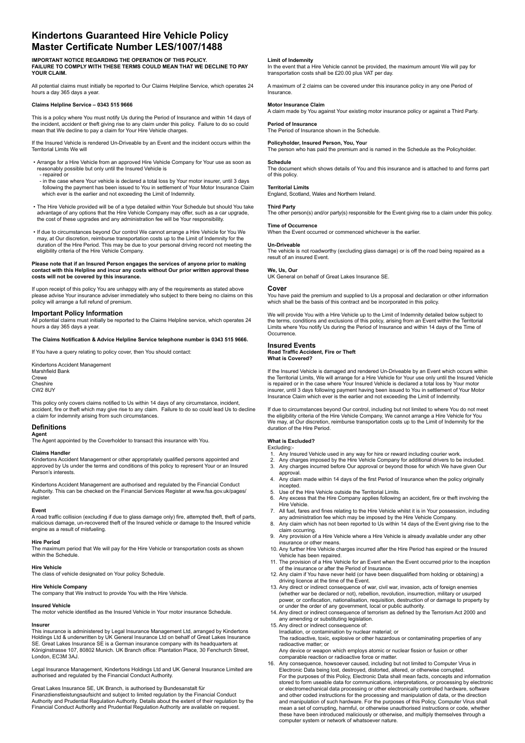# **Kindertons Guaranteed Hire Vehicle Policy Master Certificate Number LES/1007/1488**

**IMPORTANT NOTICE REGARDING THE OPERATION OF THIS POLICY. FAILURE TO COMPLY WITH THESE TERMS COULD MEAN THAT WE DECLINE TO PAY YOUR CLAIM.**

All potential claims must initially be reported to Our Claims Helpline Service, which operates 24 hours a day 365 days a year.

# **Claims Helpline Service – 0343 515 9666**

This is a policy where You must notify Us during the Period of Insurance and within 14 days of the incident, accident or theft giving rise to any claim under this policy. Failure to do so could mean that We decline to pay a claim for Your Hire Vehicle charges.

If the Insured Vehicle is rendered Un-Driveable by an Event and the incident occurs within the Territorial Limits We will

- Arrange for a Hire Vehicle from an approved Hire Vehicle Company for Your use as soon as reasonably possible but only until the Insured Vehicle is - repaired or
- in the case where Your vehicle is declared a total loss by Your motor insurer, until 3 days following the payment has been issued to You in settlement of Your Motor Insurance Claim which ever is the earlier and not exceeding the Limit of Indemnity.
- The Hire Vehicle provided will be of a type detailed within Your Schedule but should You take advantage of any options that the Hire Vehicle Company may offer, such as a car upgrade, the cost of these upgrades and any administration fee will be Your responsibility.
- If due to circumstances beyond Our control We cannot arrange a Hire Vehicle for You We may, at Our discretion, reimburse transportation costs up to the Limit of Indemnity for the duration of the Hire Period. This may be due to your personal driving record not meeting the eligibility criteria of the Hire Vehicle Company.

# **Please note that if an Insured Person engages the services of anyone prior to making contact with this Helpline and incur any costs without Our prior written approval these costs will not be covered by this insurance.**

If upon receipt of this policy You are unhappy with any of the requirements as stated above please advise Your insurance adviser immediately who subject to there being no claims on this policy will arrange a full refund of premium.

# **Important Policy Information**

All potential claims must initially be reported to the Claims Helpline service, which operates 24 hours a day 365 days a year.

**The Claims Notification & Advice Helpline Service telephone number is 0343 515 9666.**

If You have a query relating to policy cover, then You should contact:

Kindertons Accident Management Marshfield Bank Crewe Cheshire CW2 8UY

This policy only covers claims notified to Us within 14 days of any circumstance, incident, accident, fire or theft which may give rise to any claim. Failure to do so could lead Us to decline a claim for indemnity arising from such circumstances.

# **Definitions**

**Agent**

The Agent appointed by the Coverholder to transact this insurance with You.

# **Claims Handler**

Kindertons Accident Management or other appropriately qualified persons appointed and approved by Us under the terms and conditions of this policy to represent Your or an Insured Person's interests.

Kindertons Accident Management are authorised and regulated by the Financial Conduct Authority. This can be checked on the Financial Services Register at www.fsa.gov.uk/pages/ register.

# **Event**

A road traffic collision (excluding if due to glass damage only) fire, attempted theft, theft of parts, malicious damage, un-recovered theft of the Insured vehicle or damage to the Insured vehicle engine as a result of misfueling.

#### **Hire Period**

The maximum period that We will pay for the Hire Vehicle or transportation costs as shown within the Schedule.

## **Hire Vehicle**

The class of vehicle designated on Your policy Schedule.

**Hire Vehicle Company** The company that We instruct to provide You with the Hire Vehicle.

# **Insured Vehicle**

The motor vehicle identified as the Insured Vehicle in Your motor insurance Schedule.

# **Insurer**

This insurance is administered by Legal Insurance Management Ltd, arranged by Kindertons Holdings Ltd & underwritten by UK General Insurance Ltd on behalf of Great Lakes Insurance SE. Great Lakes Insurance SE is a German insurance company with its headquarters at Königinstrasse 107, 80802 Munich. UK Branch office: Plantation Place, 30 Fenchurch Street, London, EC3M 3AJ.

Legal Insurance Management, Kindertons Holdings Ltd and UK General Insurance Limited are authorised and regulated by the Financial Conduct Authority.

Great Lakes Insurance SE, UK Branch, is authorised by Bundesanstalt für Finanzdienstleistungsaufsicht and subject to limited regulation by the Financial Conduct Authority and Prudential Regulation Authority. Details about the extent of their regulation by the Financial Conduct Authority and Prudential Regulation Authority are available on request.

#### **Limit of Indemnity**

In the event that a Hire Vehicle cannot be provided, the maximum amount We will pay for transportation costs shall be £20.00 plus VAT per day.

A maximum of 2 claims can be covered under this insurance policy in any one Period of Insurance.

#### **Motor Insurance Claim**

A claim made by You against Your existing motor insurance policy or against a Third Party.

#### **Period of Insurance** The Period of Insurance shown in the Schedule.

**Policyholder, Insured Person, You, You**r

The person who has paid the premium and is named in the Schedule as the Policyholder.

# **Schedule**

The document which shows details of You and this insurance and is attached to and forms part of this policy.

**Territorial Limits** England, Scotland, Wales and Northern Ireland.

# **Third Party**

The other person(s) and/or party(s) responsible for the Event giving rise to a claim under this policy.

# **Time of Occurrence**

When the Event occurred or commenced whichever is the earlier.

**Un-Driveable** The vehicle is not roadworthy (excluding glass damage) or is off the road being repaired as a result of an insured Event.

# **We, Us, Our**

UK General on behalf of Great Lakes Insurance SE.

#### **Cover**

You have paid the premium and supplied to Us a proposal and declaration or other information which shall be the basis of this contract and be incorporated in this policy.

We will provide You with a Hire Vehicle up to the Limit of Indemnity detailed below subject to the terms, conditions and exclusions of this policy, arising from an Event within the Territorial Limits where You notify Us during the Period of Insurance and within 14 days of the Time of Occurrence.

# **Insured Events**

**Road Traffic Accident, Fire or Theft What is Covered?**

If the Insured Vehicle is damaged and rendered Un-Driveable by an Event which occurs within the Territorial Limits, We will arrange for a Hire Vehicle for Your use only until the Insured Vehicle is repaired or in the case where Your Insured Vehicle is declared a total loss by Your motor insurer, until 3 days following payment having been issued to You in settlement of Your Motor Insurance Claim which ever is the earlier and not exceeding the Limit of Indemnity.

If due to circumstances beyond Our control, including but not limited to where You do not meet the eligibility criteria of the Hire Vehicle Company, We cannot arrange a Hire Vehicle for You We may, at Our discretion, reimburse transportation costs up to the Limit of Indemnity for the duration of the Hire Period.

# **What is Excluded?** Excluding:-

- 
- 1. Any Insured Vehicle used in any way for hire or reward including courier work.<br>2. Any charges imposed by the Hire Vehicle Company for additional drivers to be
- 2. Any charges imposed by the Hire Vehicle Company for additional drivers to be included.<br>3. Any charges incurred before Our approval or beyond those for which We have given Ou 3. Any charges incurred before Our approval or beyond those for which We have given Our approval<br>4 Any clain
- 4. Any claim made within 14 days of the first Period of Insurance when the policy originally incepted.
- 5. Use of the Hire Vehicle outside the Territorial Limits.<br>6. Any excess that the Hire Company applies following.
- Any excess that the Hire Company applies following an accident, fire or theft involving the Hire Vehicle.<br>T. All fuel fares
- All fuel, fares and fines relating to the Hire Vehicle whilst it is in Your possession, including any administration fee which may be imposed by the Hire Vehicle Company. 8. Any claim which has not been reported to Us within 14 days of the Event giving rise to the
- claim occurring.<br>9. Any provision of
- 9. Any provision of a Hire Vehicle where a Hire Vehicle is already available under any other insurance or other means.
- 10. Any further Hire Vehicle charges incurred after the Hire Period has expired or the Insured Vehicle has been repaired.
- 11. The provision of a Hire Vehicle for an Event when the Event occurred prior to the inception of the insurance or after the Period of Insurance.
- 12. Any claim if You have never held (or have been disqualified from holding or obtaining) a driving licence at the time of the Event.
- 13. Any direct or indirect consequence of war, civil war, invasion, acts of foreign enemies (whether war be declared or not), rebellion, revolution, insurrection, military or usurped power, or confiscation, nationalisation, requisition, destruction of or damage to property by or under the order of any government, local or public authority.
- 14. Any direct or indirect consequence of terrorism as defined by the Terrorism Act 2000 and any amending or substituting legislation.
- 15. Any direct or indirect consequence of: Irradiation, or contamination by nuclear material; or

 The radioactive, toxic, explosive or other hazardous or contaminating properties of any radioactive matter; or

Any device or weapon which employs atomic or nuclear fission or fusion or other comparable reaction or radioactive force or matter.<br>16. Any consequence, howsoever caused, including b

Any consequence, howsoever caused, including but not limited to Computer Virus in Electronic Data being lost, destroyed, distorted, altered, or otherwise corrupted. For the purposes of this Policy, Electronic Data shall mean facts, concepts and information stored to form useable data for communications, interpretations, or processing by electronic or electromechanical data processing or other electronically controlled hardware, software and other coded instructions for the processing and manipulation of data, or the direction and manipulation of such hardware. For the purposes of this Policy, Computer Virus shall mean a set of corrupting, harmful, or otherwise unauthorised instructions or code, whether these have been introduced maliciously or otherwise, and multiply themselves through a computer system or network of whatsoever nature.